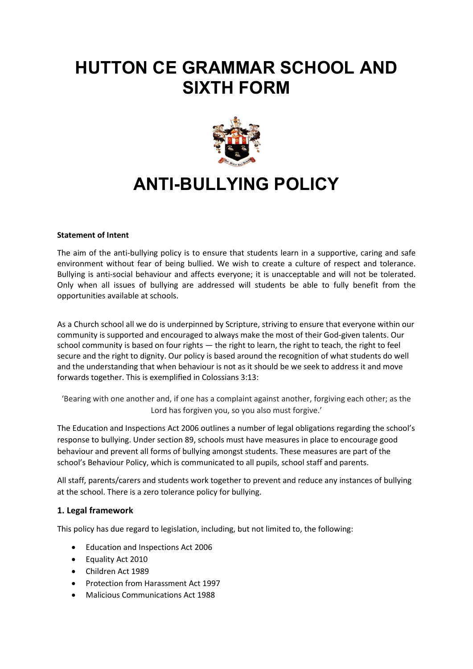# **HUTTON CE GRAMMAR SCHOOL AND SIXTH FORM**



# **ANTI-BULLYING POLICY**

#### **Statement of Intent**

The aim of the anti-bullying policy is to ensure that students learn in a supportive, caring and safe environment without fear of being bullied. We wish to create a culture of respect and tolerance. Bullying is anti-social behaviour and affects everyone; it is unacceptable and will not be tolerated. Only when all issues of bullying are addressed will students be able to fully benefit from the opportunities available at schools.

As a Church school all we do is underpinned by Scripture, striving to ensure that everyone within our community is supported and encouraged to always make the most of their God-given talents. Our school community is based on four rights — the right to learn, the right to teach, the right to feel secure and the right to dignity. Our policy is based around the recognition of what students do well and the understanding that when behaviour is not as it should be we seek to address it and move forwards together. This is exemplified in Colossians 3:13:

'Bearing with one another and, if one has a complaint against another, forgiving each other; as the Lord has forgiven you, so you also must forgive.'

The Education and Inspections Act 2006 outlines a number of legal obligations regarding the school's response to bullying. Under section 89, schools must have measures in place to encourage good behaviour and prevent all forms of bullying amongst students. These measures are part of the school's Behaviour Policy, which is communicated to all pupils, school staff and parents.

All staff, parents/carers and students work together to prevent and reduce any instances of bullying at the school. There is a zero tolerance policy for bullying.

### **1. Legal framework**

This policy has due regard to legislation, including, but not limited to, the following:

- Education and Inspections Act 2006
- Equality Act 2010
- Children Act 1989
- Protection from Harassment Act 1997
- Malicious Communications Act 1988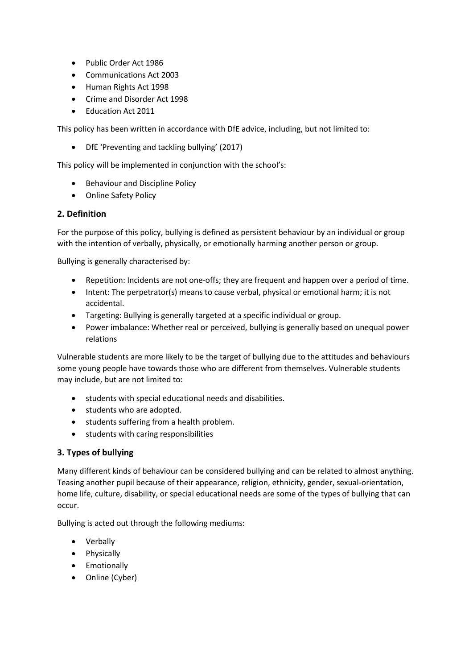- Public Order Act 1986
- Communications Act 2003
- Human Rights Act 1998
- Crime and Disorder Act 1998
- Education Act 2011

This policy has been written in accordance with DfE advice, including, but not limited to:

• DfE 'Preventing and tackling bullying' (2017)

This policy will be implemented in conjunction with the school's:

- Behaviour and Discipline Policy
- Online Safety Policy

### **2. Definition**

For the purpose of this policy, bullying is defined as persistent behaviour by an individual or group with the intention of verbally, physically, or emotionally harming another person or group.

Bullying is generally characterised by:

- Repetition: Incidents are not one-offs; they are frequent and happen over a period of time.
- Intent: The perpetrator(s) means to cause verbal, physical or emotional harm; it is not accidental.
- Targeting: Bullying is generally targeted at a specific individual or group.
- Power imbalance: Whether real or perceived, bullying is generally based on unequal power relations

Vulnerable students are more likely to be the target of bullying due to the attitudes and behaviours some young people have towards those who are different from themselves. Vulnerable students may include, but are not limited to:

- students with special educational needs and disabilities.
- students who are adopted.
- students suffering from a health problem.
- students with caring responsibilities

### **3. Types of bullying**

Many different kinds of behaviour can be considered bullying and can be related to almost anything. Teasing another pupil because of their appearance, religion, ethnicity, gender, sexual-orientation, home life, culture, disability, or special educational needs are some of the types of bullying that can occur.

Bullying is acted out through the following mediums:

- Verbally
- Physically
- Emotionally
- Online (Cyber)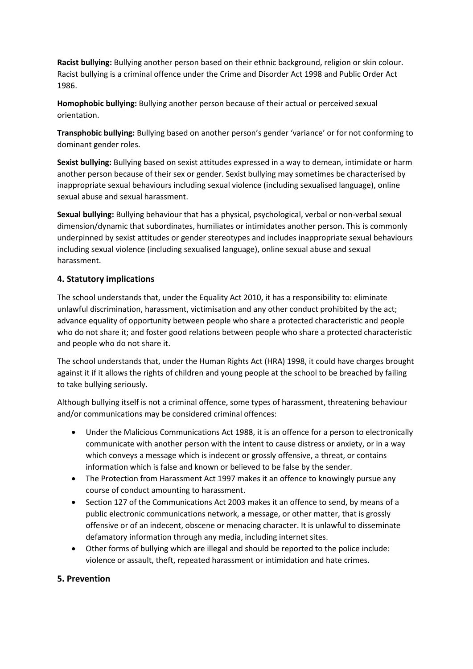**Racist bullying:** Bullying another person based on their ethnic background, religion or skin colour. Racist bullying is a criminal offence under the Crime and Disorder Act 1998 and Public Order Act 1986.

**Homophobic bullying:** Bullying another person because of their actual or perceived sexual orientation.

**Transphobic bullying:** Bullying based on another person's gender 'variance' or for not conforming to dominant gender roles.

**Sexist bullying:** Bullying based on sexist attitudes expressed in a way to demean, intimidate or harm another person because of their sex or gender. Sexist bullying may sometimes be characterised by inappropriate sexual behaviours including sexual violence (including sexualised language), online sexual abuse and sexual harassment.

**Sexual bullying:** Bullying behaviour that has a physical, psychological, verbal or non-verbal sexual dimension/dynamic that subordinates, humiliates or intimidates another person. This is commonly underpinned by sexist attitudes or gender stereotypes and includes inappropriate sexual behaviours including sexual violence (including sexualised language), online sexual abuse and sexual harassment.

## **4. Statutory implications**

The school understands that, under the Equality Act 2010, it has a responsibility to: eliminate unlawful discrimination, harassment, victimisation and any other conduct prohibited by the act; advance equality of opportunity between people who share a protected characteristic and people who do not share it; and foster good relations between people who share a protected characteristic and people who do not share it.

The school understands that, under the Human Rights Act (HRA) 1998, it could have charges brought against it if it allows the rights of children and young people at the school to be breached by failing to take bullying seriously.

Although bullying itself is not a criminal offence, some types of harassment, threatening behaviour and/or communications may be considered criminal offences:

- Under the Malicious Communications Act 1988, it is an offence for a person to electronically communicate with another person with the intent to cause distress or anxiety, or in a way which conveys a message which is indecent or grossly offensive, a threat, or contains information which is false and known or believed to be false by the sender.
- The Protection from Harassment Act 1997 makes it an offence to knowingly pursue any course of conduct amounting to harassment.
- Section 127 of the Communications Act 2003 makes it an offence to send, by means of a public electronic communications network, a message, or other matter, that is grossly offensive or of an indecent, obscene or menacing character. It is unlawful to disseminate defamatory information through any media, including internet sites.
- Other forms of bullying which are illegal and should be reported to the police include: violence or assault, theft, repeated harassment or intimidation and hate crimes.

## **5. Prevention**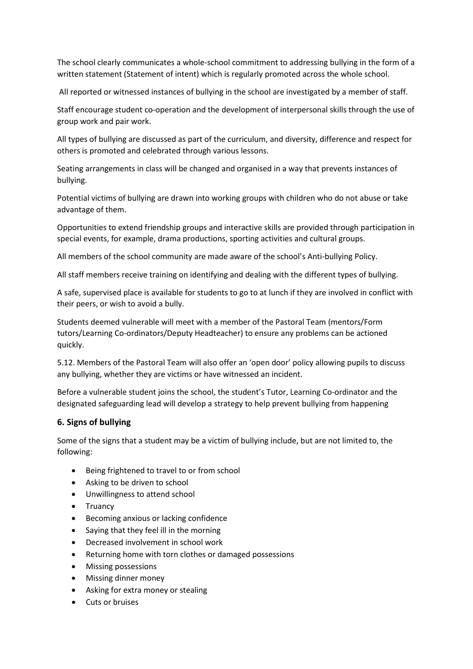The school clearly communicates a whole-school commitment to addressing bullying in the form of a written statement (Statement of intent) which is regularly promoted across the whole school.

All reported or witnessed instances of bullying in the school are investigated by a member of staff.

Staff encourage student co-operation and the development of interpersonal skills through the use of group work and pair work.

All types of bullying are discussed as part of the curriculum, and diversity, difference and respect for others is promoted and celebrated through various lessons.

Seating arrangements in class will be changed and organised in a way that prevents instances of bullying.

Potential victims of bullying are drawn into working groups with children who do not abuse or take advantage of them.

Opportunities to extend friendship groups and interactive skills are provided through participation in special events, for example, drama productions, sporting activities and cultural groups.

All members of the school community are made aware of the school's Anti-bullying Policy.

All staff members receive training on identifying and dealing with the different types of bullying.

A safe, supervised place is available for students to go to at lunch if they are involved in conflict with their peers, or wish to avoid a bully.

Students deemed vulnerable will meet with a member of the Pastoral Team (mentors/Form tutors/Learning Co-ordinators/Deputy Headteacher) to ensure any problems can be actioned quickly.

5.12. Members of the Pastoral Team will also offer an 'open door' policy allowing pupils to discuss any bullying, whether they are victims or have witnessed an incident.

Before a vulnerable student joins the school, the student's Tutor, Learning Co-ordinator and the designated safeguarding lead will develop a strategy to help prevent bullying from happening

### **6. Signs of bullying**

Some of the signs that a student may be a victim of bullying include, but are not limited to, the following:

- Being frightened to travel to or from school
- Asking to be driven to school
- Unwillingness to attend school
- Truancy
- Becoming anxious or lacking confidence
- Saying that they feel ill in the morning
- Decreased involvement in school work
- Returning home with torn clothes or damaged possessions
- Missing possessions
- Missing dinner money
- Asking for extra money or stealing
- Cuts or bruises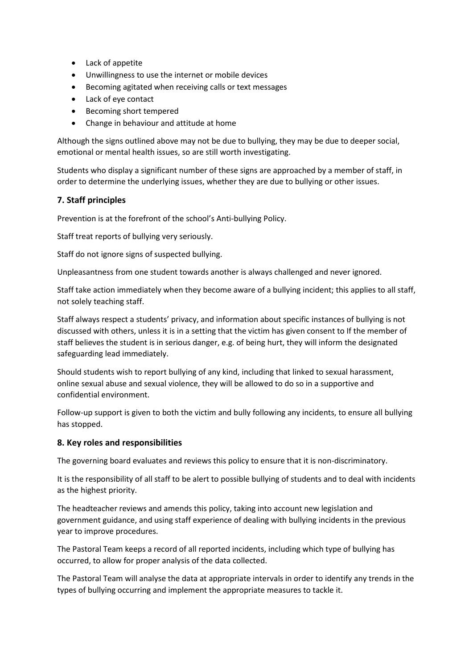- Lack of appetite
- Unwillingness to use the internet or mobile devices
- Becoming agitated when receiving calls or text messages
- Lack of eye contact
- Becoming short tempered
- Change in behaviour and attitude at home

Although the signs outlined above may not be due to bullying, they may be due to deeper social, emotional or mental health issues, so are still worth investigating.

Students who display a significant number of these signs are approached by a member of staff, in order to determine the underlying issues, whether they are due to bullying or other issues.

## **7. Staff principles**

Prevention is at the forefront of the school's Anti-bullying Policy.

Staff treat reports of bullying very seriously.

Staff do not ignore signs of suspected bullying.

Unpleasantness from one student towards another is always challenged and never ignored.

Staff take action immediately when they become aware of a bullying incident; this applies to all staff, not solely teaching staff.

Staff always respect a students' privacy, and information about specific instances of bullying is not discussed with others, unless it is in a setting that the victim has given consent to If the member of staff believes the student is in serious danger, e.g. of being hurt, they will inform the designated safeguarding lead immediately.

Should students wish to report bullying of any kind, including that linked to sexual harassment, online sexual abuse and sexual violence, they will be allowed to do so in a supportive and confidential environment.

Follow-up support is given to both the victim and bully following any incidents, to ensure all bullying has stopped.

### **8. Key roles and responsibilities**

The governing board evaluates and reviews this policy to ensure that it is non-discriminatory.

It is the responsibility of all staff to be alert to possible bullying of students and to deal with incidents as the highest priority.

The headteacher reviews and amends this policy, taking into account new legislation and government guidance, and using staff experience of dealing with bullying incidents in the previous year to improve procedures.

The Pastoral Team keeps a record of all reported incidents, including which type of bullying has occurred, to allow for proper analysis of the data collected.

The Pastoral Team will analyse the data at appropriate intervals in order to identify any trends in the types of bullying occurring and implement the appropriate measures to tackle it.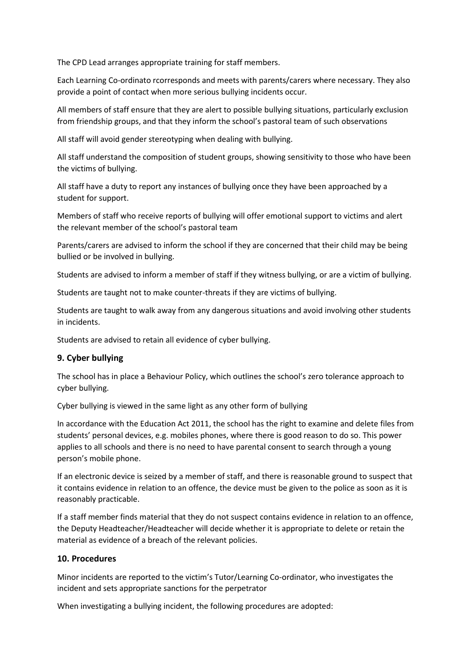The CPD Lead arranges appropriate training for staff members.

Each Learning Co-ordinato rcorresponds and meets with parents/carers where necessary. They also provide a point of contact when more serious bullying incidents occur.

All members of staff ensure that they are alert to possible bullying situations, particularly exclusion from friendship groups, and that they inform the school's pastoral team of such observations

All staff will avoid gender stereotyping when dealing with bullying.

All staff understand the composition of student groups, showing sensitivity to those who have been the victims of bullying.

All staff have a duty to report any instances of bullying once they have been approached by a student for support.

Members of staff who receive reports of bullying will offer emotional support to victims and alert the relevant member of the school's pastoral team

Parents/carers are advised to inform the school if they are concerned that their child may be being bullied or be involved in bullying.

Students are advised to inform a member of staff if they witness bullying, or are a victim of bullying.

Students are taught not to make counter-threats if they are victims of bullying.

Students are taught to walk away from any dangerous situations and avoid involving other students in incidents.

Students are advised to retain all evidence of cyber bullying.

### **9. Cyber bullying**

The school has in place a Behaviour Policy, which outlines the school's zero tolerance approach to cyber bullying.

Cyber bullying is viewed in the same light as any other form of bullying

In accordance with the Education Act 2011, the school has the right to examine and delete files from students' personal devices, e.g. mobiles phones, where there is good reason to do so. This power applies to all schools and there is no need to have parental consent to search through a young person's mobile phone.

If an electronic device is seized by a member of staff, and there is reasonable ground to suspect that it contains evidence in relation to an offence, the device must be given to the police as soon as it is reasonably practicable.

If a staff member finds material that they do not suspect contains evidence in relation to an offence, the Deputy Headteacher/Headteacher will decide whether it is appropriate to delete or retain the material as evidence of a breach of the relevant policies.

### **10. Procedures**

Minor incidents are reported to the victim's Tutor/Learning Co-ordinator, who investigates the incident and sets appropriate sanctions for the perpetrator

When investigating a bullying incident, the following procedures are adopted: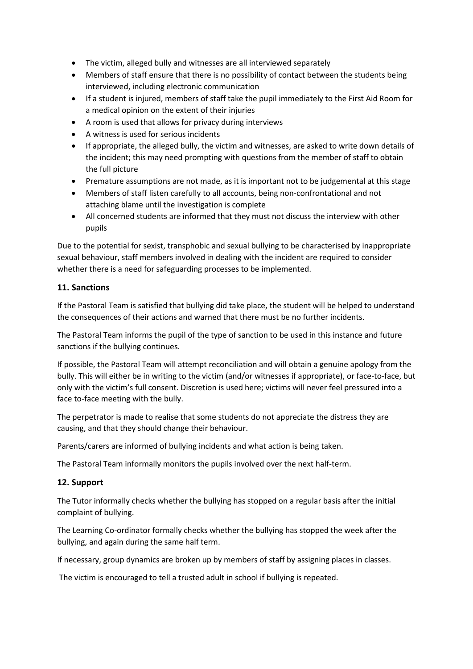- The victim, alleged bully and witnesses are all interviewed separately
- Members of staff ensure that there is no possibility of contact between the students being interviewed, including electronic communication
- If a student is injured, members of staff take the pupil immediately to the First Aid Room for a medical opinion on the extent of their injuries
- A room is used that allows for privacy during interviews
- A witness is used for serious incidents
- If appropriate, the alleged bully, the victim and witnesses, are asked to write down details of the incident; this may need prompting with questions from the member of staff to obtain the full picture
- Premature assumptions are not made, as it is important not to be judgemental at this stage
- Members of staff listen carefully to all accounts, being non-confrontational and not attaching blame until the investigation is complete
- All concerned students are informed that they must not discuss the interview with other pupils

Due to the potential for sexist, transphobic and sexual bullying to be characterised by inappropriate sexual behaviour, staff members involved in dealing with the incident are required to consider whether there is a need for safeguarding processes to be implemented.

## **11. Sanctions**

If the Pastoral Team is satisfied that bullying did take place, the student will be helped to understand the consequences of their actions and warned that there must be no further incidents.

The Pastoral Team informs the pupil of the type of sanction to be used in this instance and future sanctions if the bullying continues.

If possible, the Pastoral Team will attempt reconciliation and will obtain a genuine apology from the bully. This will either be in writing to the victim (and/or witnesses if appropriate), or face-to-face, but only with the victim's full consent. Discretion is used here; victims will never feel pressured into a face to-face meeting with the bully.

The perpetrator is made to realise that some students do not appreciate the distress they are causing, and that they should change their behaviour.

Parents/carers are informed of bullying incidents and what action is being taken.

The Pastoral Team informally monitors the pupils involved over the next half-term.

## **12. Support**

The Tutor informally checks whether the bullying has stopped on a regular basis after the initial complaint of bullying.

The Learning Co-ordinator formally checks whether the bullying has stopped the week after the bullying, and again during the same half term.

If necessary, group dynamics are broken up by members of staff by assigning places in classes.

The victim is encouraged to tell a trusted adult in school if bullying is repeated.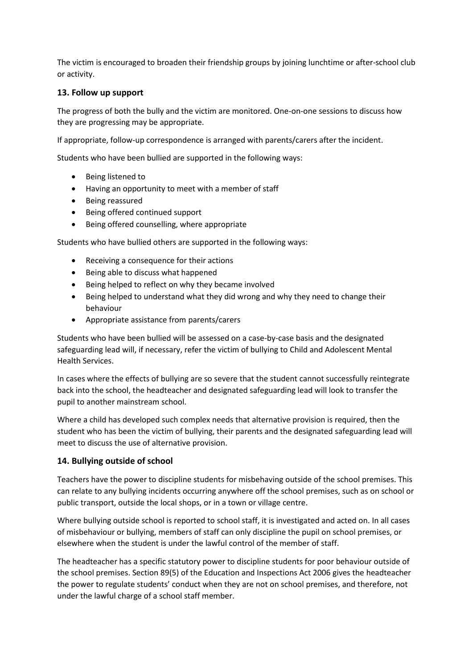The victim is encouraged to broaden their friendship groups by joining lunchtime or after-school club or activity.

#### **13. Follow up support**

The progress of both the bully and the victim are monitored. One-on-one sessions to discuss how they are progressing may be appropriate.

If appropriate, follow-up correspondence is arranged with parents/carers after the incident.

Students who have been bullied are supported in the following ways:

- Being listened to
- Having an opportunity to meet with a member of staff
- Being reassured
- Being offered continued support
- Being offered counselling, where appropriate

Students who have bullied others are supported in the following ways:

- Receiving a consequence for their actions
- Being able to discuss what happened
- Being helped to reflect on why they became involved
- Being helped to understand what they did wrong and why they need to change their behaviour
- Appropriate assistance from parents/carers

Students who have been bullied will be assessed on a case-by-case basis and the designated safeguarding lead will, if necessary, refer the victim of bullying to Child and Adolescent Mental Health Services.

In cases where the effects of bullying are so severe that the student cannot successfully reintegrate back into the school, the headteacher and designated safeguarding lead will look to transfer the pupil to another mainstream school.

Where a child has developed such complex needs that alternative provision is required, then the student who has been the victim of bullying, their parents and the designated safeguarding lead will meet to discuss the use of alternative provision.

### **14. Bullying outside of school**

Teachers have the power to discipline students for misbehaving outside of the school premises. This can relate to any bullying incidents occurring anywhere off the school premises, such as on school or public transport, outside the local shops, or in a town or village centre.

Where bullying outside school is reported to school staff, it is investigated and acted on. In all cases of misbehaviour or bullying, members of staff can only discipline the pupil on school premises, or elsewhere when the student is under the lawful control of the member of staff.

The headteacher has a specific statutory power to discipline students for poor behaviour outside of the school premises. Section 89(5) of the Education and Inspections Act 2006 gives the headteacher the power to regulate students' conduct when they are not on school premises, and therefore, not under the lawful charge of a school staff member.